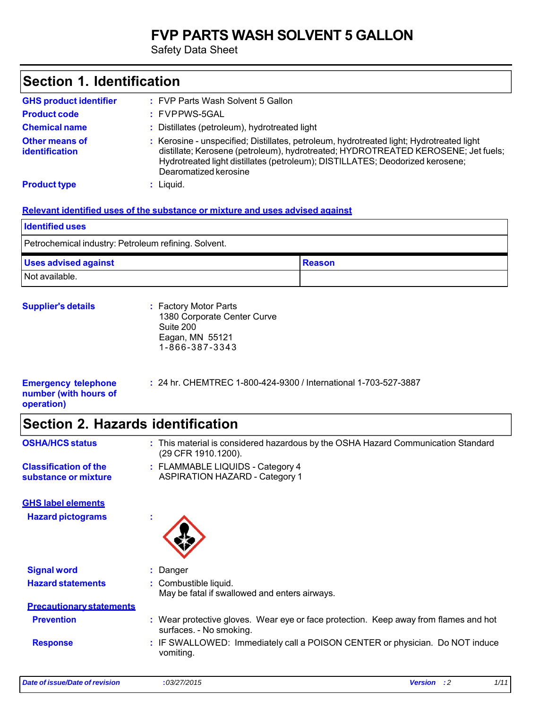### **FVP PARTS WASH SOLVENT 5 GALLON**

Safety Data Sheet

| Section 1. Identification                      |                                                                                                                                                                                                                                                                                         |  |
|------------------------------------------------|-----------------------------------------------------------------------------------------------------------------------------------------------------------------------------------------------------------------------------------------------------------------------------------------|--|
| <b>GHS product identifier</b>                  | : FVP Parts Wash Solvent 5 Gallon                                                                                                                                                                                                                                                       |  |
| <b>Product code</b>                            | : FVPPWS-5GAL                                                                                                                                                                                                                                                                           |  |
| <b>Chemical name</b>                           | : Distillates (petroleum), hydrotreated light                                                                                                                                                                                                                                           |  |
| <b>Other means of</b><br><b>identification</b> | : Kerosine - unspecified; Distillates, petroleum, hydrotreated light; Hydrotreated light<br>distillate; Kerosene (petroleum), hydrotreated; HYDROTREATED KEROSENE; Jet fuels;<br>Hydrotreated light distillates (petroleum); DISTILLATES; Deodorized kerosene;<br>Dearomatized kerosine |  |
| <b>Product type</b>                            | $:$ Liquid.                                                                                                                                                                                                                                                                             |  |
| <b>Identified uses</b>                         | Relevant identified uses of the substance or mixture and uses advised against                                                                                                                                                                                                           |  |

Petrochemical industry: Petroleum refining. Solvent.

| <b>Uses advised against</b> | <b>Reason</b> |
|-----------------------------|---------------|
| Not available.              |               |

| <b>Supplier's details</b> | : Factory Motor Parts<br>1380 Corporate Center Curve<br>Suite 200<br>Eagan, MN 55121 |
|---------------------------|--------------------------------------------------------------------------------------|
|                           | 1-866-387-3343                                                                       |

| <b>Emergency telephone</b> | : 24 hr. CHEMTREC 1-800-424-9300 / International 1-703-527-3887 |
|----------------------------|-----------------------------------------------------------------|
| number (with hours of      |                                                                 |
| operation)                 |                                                                 |

# **Section 2. Hazards identification**

| <b>OSHA/HCS status</b>          | : This material is considered hazardous by the OSHA Hazard Communication Standard<br>(29 CFR 1910.1200).        |
|---------------------------------|-----------------------------------------------------------------------------------------------------------------|
| <b>Classification of the</b>    | : FLAMMABLE LIQUIDS - Category 4                                                                                |
| substance or mixture            | <b>ASPIRATION HAZARD - Category 1</b>                                                                           |
|                                 |                                                                                                                 |
| <b>GHS label elements</b>       |                                                                                                                 |
| <b>Hazard pictograms</b>        | $\mathbf{r}$                                                                                                    |
| <b>Signal word</b>              | Danger                                                                                                          |
| <b>Hazard statements</b>        | : Combustible liquid.                                                                                           |
|                                 | May be fatal if swallowed and enters airways.                                                                   |
| <b>Precautionary statements</b> |                                                                                                                 |
| <b>Prevention</b>               | : Wear protective gloves. Wear eye or face protection. Keep away from flames and hot<br>surfaces. - No smoking. |
| <b>Response</b>                 | : IF SWALLOWED: Immediately call a POISON CENTER or physician. Do NOT induce                                    |
|                                 | vomiting.                                                                                                       |
|                                 |                                                                                                                 |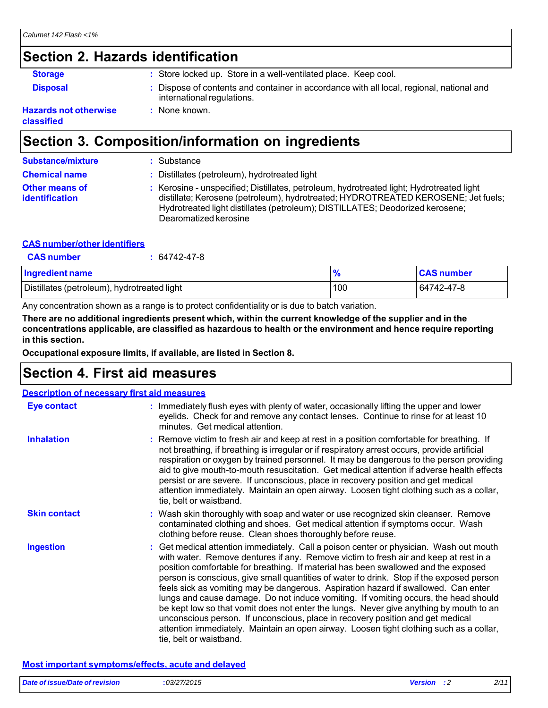# **Section 2. Hazards identification**

| <b>Storage</b>        | : Store locked up. Store in a well-ventilated place. Keep cool.                                                        |
|-----------------------|------------------------------------------------------------------------------------------------------------------------|
| <b>Disposal</b>       | : Dispose of contents and container in accordance with all local, regional, national and<br>international regulations. |
| lazards not otherwise | None known.                                                                                                            |

**Hazards not otherwise classified**

### **Section 3. Composition/information on ingredients**

| <b>Substance/mixture</b>                       | : Substance                                                                                                                                                                                                                                                                             |
|------------------------------------------------|-----------------------------------------------------------------------------------------------------------------------------------------------------------------------------------------------------------------------------------------------------------------------------------------|
| <b>Chemical name</b>                           | : Distillates (petroleum), hydrotreated light                                                                                                                                                                                                                                           |
| <b>Other means of</b><br><b>identification</b> | : Kerosine - unspecified; Distillates, petroleum, hydrotreated light; Hydrotreated light<br>distillate; Kerosene (petroleum), hydrotreated; HYDROTREATED KEROSENE; Jet fuels;<br>Hydrotreated light distillates (petroleum); DISTILLATES; Deodorized kerosene;<br>Dearomatized kerosine |

### **CAS number/other identifiers**

| <b>CAS number</b>                           | 64742-47-8 |     |                   |
|---------------------------------------------|------------|-----|-------------------|
| Ingredient name                             |            |     | <b>CAS number</b> |
| Distillates (petroleum), hydrotreated light |            | 100 | 64742-47-8        |

Any concentration shown as a range is to protect confidentiality or is due to batch variation.

**There are no additional ingredients present which, within the current knowledge of the supplier and in the concentrations applicable, are classified as hazardous to health or the environment and hence require reporting in this section.**

**Occupational exposure limits, if available, are listed in Section 8.**

### **Section 4. First aid measures**

| <b>Description of necessary first aid measures</b> |                                                                                                                                                                                                                                                                                                                                                                                                                                                                                                                                                                                                                                                                                                                                                                                                                                                 |
|----------------------------------------------------|-------------------------------------------------------------------------------------------------------------------------------------------------------------------------------------------------------------------------------------------------------------------------------------------------------------------------------------------------------------------------------------------------------------------------------------------------------------------------------------------------------------------------------------------------------------------------------------------------------------------------------------------------------------------------------------------------------------------------------------------------------------------------------------------------------------------------------------------------|
| Eye contact                                        | : Immediately flush eyes with plenty of water, occasionally lifting the upper and lower<br>eyelids. Check for and remove any contact lenses. Continue to rinse for at least 10<br>minutes. Get medical attention.                                                                                                                                                                                                                                                                                                                                                                                                                                                                                                                                                                                                                               |
| <b>Inhalation</b>                                  | : Remove victim to fresh air and keep at rest in a position comfortable for breathing. If<br>not breathing, if breathing is irregular or if respiratory arrest occurs, provide artificial<br>respiration or oxygen by trained personnel. It may be dangerous to the person providing<br>aid to give mouth-to-mouth resuscitation. Get medical attention if adverse health effects<br>persist or are severe. If unconscious, place in recovery position and get medical<br>attention immediately. Maintain an open airway. Loosen tight clothing such as a collar,<br>tie, belt or waistband.                                                                                                                                                                                                                                                    |
| <b>Skin contact</b>                                | : Wash skin thoroughly with soap and water or use recognized skin cleanser. Remove<br>contaminated clothing and shoes. Get medical attention if symptoms occur. Wash<br>clothing before reuse. Clean shoes thoroughly before reuse.                                                                                                                                                                                                                                                                                                                                                                                                                                                                                                                                                                                                             |
| <b>Ingestion</b>                                   | : Get medical attention immediately. Call a poison center or physician. Wash out mouth<br>with water. Remove dentures if any. Remove victim to fresh air and keep at rest in a<br>position comfortable for breathing. If material has been swallowed and the exposed<br>person is conscious, give small quantities of water to drink. Stop if the exposed person<br>feels sick as vomiting may be dangerous. Aspiration hazard if swallowed. Can enter<br>lungs and cause damage. Do not induce vomiting. If vomiting occurs, the head should<br>be kept low so that vomit does not enter the lungs. Never give anything by mouth to an<br>unconscious person. If unconscious, place in recovery position and get medical<br>attention immediately. Maintain an open airway. Loosen tight clothing such as a collar,<br>tie, belt or waistband. |

#### **Most important symptoms/effects, acute and delayed**

| Date of issue/Date of revision | : 03/27/2015 | <b>Version</b> | 2/11 |
|--------------------------------|--------------|----------------|------|
|                                |              |                |      |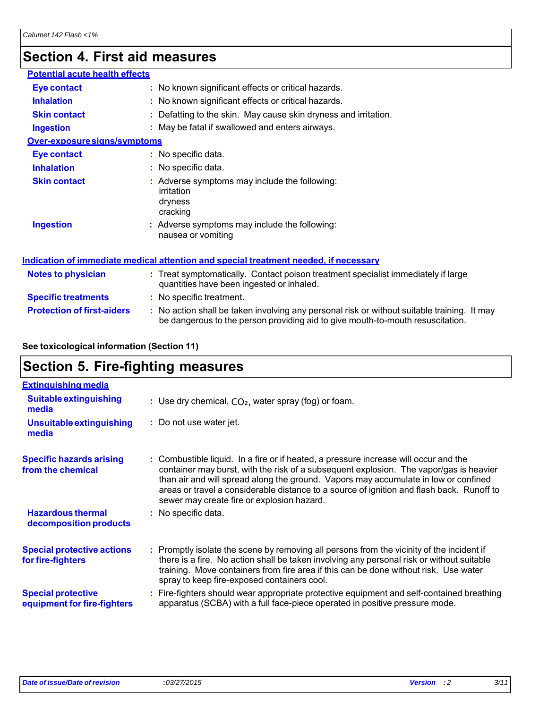# **Section 4. First aid measures**

| <b>Potential acute health effects</b> |                                   |                                                                                                                                                                               |
|---------------------------------------|-----------------------------------|-------------------------------------------------------------------------------------------------------------------------------------------------------------------------------|
| <b>Eye contact</b>                    |                                   | : No known significant effects or critical hazards.                                                                                                                           |
| <b>Inhalation</b>                     |                                   | : No known significant effects or critical hazards.                                                                                                                           |
| <b>Skin contact</b>                   |                                   | : Defatting to the skin. May cause skin dryness and irritation.                                                                                                               |
| <b>Ingestion</b>                      |                                   | : May be fatal if swallowed and enters airways.                                                                                                                               |
| Over-exposure signs/symptoms          |                                   |                                                                                                                                                                               |
| <b>Eye contact</b>                    | : No specific data.               |                                                                                                                                                                               |
| <b>Inhalation</b>                     | : No specific data.               |                                                                                                                                                                               |
| <b>Skin contact</b>                   | irritation<br>dryness<br>cracking | : Adverse symptoms may include the following:                                                                                                                                 |
| <b>Ingestion</b>                      | nausea or vomiting                | : Adverse symptoms may include the following:                                                                                                                                 |
|                                       |                                   | Indication of immediate medical attention and special treatment needed, if necessary                                                                                          |
| <b>Notes to physician</b>             |                                   | : Treat symptomatically. Contact poison treatment specialist immediately if large<br>quantities have been ingested or inhaled.                                                |
| <b>Specific treatments</b>            | : No specific treatment.          |                                                                                                                                                                               |
| <b>Protection of first-aiders</b>     |                                   | : No action shall be taken involving any personal risk or without suitable training. It may<br>be dangerous to the person providing aid to give mouth-to-mouth resuscitation. |

### **See toxicological information (Section 11)**

### **Section 5. Fire-fighting measures**

| <b>Extinguishing media</b>                               |                                                                                                                                                                                                                                                                                                                                                                                                                  |
|----------------------------------------------------------|------------------------------------------------------------------------------------------------------------------------------------------------------------------------------------------------------------------------------------------------------------------------------------------------------------------------------------------------------------------------------------------------------------------|
| <b>Suitable extinguishing</b><br>media                   | : Use dry chemical, $CO2$ , water spray (fog) or foam.                                                                                                                                                                                                                                                                                                                                                           |
| Unsuitable extinguishing<br>media                        | : Do not use water jet.                                                                                                                                                                                                                                                                                                                                                                                          |
| <b>Specific hazards arising</b><br>from the chemical     | : Combustible liquid. In a fire or if heated, a pressure increase will occur and the<br>container may burst, with the risk of a subsequent explosion. The vapor/gas is heavier<br>than air and will spread along the ground. Vapors may accumulate in low or confined<br>areas or travel a considerable distance to a source of ignition and flash back. Runoff to<br>sewer may create fire or explosion hazard. |
| <b>Hazardous thermal</b><br>decomposition products       | : No specific data.                                                                                                                                                                                                                                                                                                                                                                                              |
| <b>Special protective actions</b><br>for fire-fighters   | : Promptly isolate the scene by removing all persons from the vicinity of the incident if<br>there is a fire. No action shall be taken involving any personal risk or without suitable<br>training. Move containers from fire area if this can be done without risk. Use water<br>spray to keep fire-exposed containers cool.                                                                                    |
| <b>Special protective</b><br>equipment for fire-fighters | : Fire-fighters should wear appropriate protective equipment and self-contained breathing<br>apparatus (SCBA) with a full face-piece operated in positive pressure mode.                                                                                                                                                                                                                                         |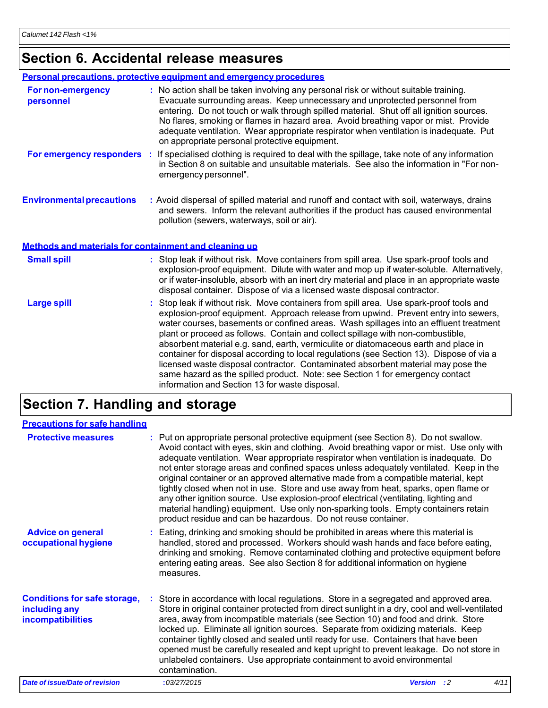### **Section 6. Accidental release measures**

|                                                       | Personal precautions, protective equipment and emergency procedures                                                                                                                                                                                                                                                                                                                                                                                                                             |
|-------------------------------------------------------|-------------------------------------------------------------------------------------------------------------------------------------------------------------------------------------------------------------------------------------------------------------------------------------------------------------------------------------------------------------------------------------------------------------------------------------------------------------------------------------------------|
| <b>For non-emergency</b><br>personnel                 | : No action shall be taken involving any personal risk or without suitable training.<br>Evacuate surrounding areas. Keep unnecessary and unprotected personnel from<br>entering. Do not touch or walk through spilled material. Shut off all ignition sources.<br>No flares, smoking or flames in hazard area. Avoid breathing vapor or mist. Provide<br>adequate ventilation. Wear appropriate respirator when ventilation is inadequate. Put<br>on appropriate personal protective equipment. |
|                                                       | For emergency responders : If specialised clothing is required to deal with the spillage, take note of any information<br>in Section 8 on suitable and unsuitable materials. See also the information in "For non-<br>emergency personnel".                                                                                                                                                                                                                                                     |
| <b>Environmental precautions</b>                      | : Avoid dispersal of spilled material and runoff and contact with soil, waterways, drains<br>and sewers. Inform the relevant authorities if the product has caused environmental<br>pollution (sewers, waterways, soil or air).                                                                                                                                                                                                                                                                 |
| Methods and materials for containment and cleaning up |                                                                                                                                                                                                                                                                                                                                                                                                                                                                                                 |
| <b>Small spill</b>                                    | : Stop leak if without risk. Move containers from spill area. Use spark-proof tools and<br>explosion-proof equipment. Dilute with water and mop up if water-soluble. Alternatively,<br>or if water-insoluble, absorb with an inert dry material and place in an appropriate waste<br>disposal container. Dispose of via a licensed waste disposal contractor.                                                                                                                                   |
| <b>Large spill</b>                                    | : Stop leak if without risk. Move containers from spill area. Use spark-proof tools and<br>explosion-proof equipment. Approach release from upwind. Prevent entry into sewers,<br>water courses, basements or confined areas. Wash spillages into an effluent treatment<br>plant or proceed as follows. Contain and collect spillage with non-combustible,                                                                                                                                      |

absorbent material e.g. sand, earth, vermiculite or diatomaceous earth and place in container for disposal according to local regulations (see Section 13). Dispose of via a licensed waste disposal contractor. Contaminated absorbent material may pose the same hazard as the spilled product. Note: see Section 1 for emergency contact information and Section 13 for waste disposal.

### **Section 7. Handling and storage**

#### **Precautions for safe handling**

| <b>Protective measures</b>                                                | : Put on appropriate personal protective equipment (see Section 8). Do not swallow.<br>Avoid contact with eyes, skin and clothing. Avoid breathing vapor or mist. Use only with<br>adequate ventilation. Wear appropriate respirator when ventilation is inadequate. Do<br>not enter storage areas and confined spaces unless adequately ventilated. Keep in the<br>original container or an approved alternative made from a compatible material, kept<br>tightly closed when not in use. Store and use away from heat, sparks, open flame or<br>any other ignition source. Use explosion-proof electrical (ventilating, lighting and<br>material handling) equipment. Use only non-sparking tools. Empty containers retain<br>product residue and can be hazardous. Do not reuse container. |                            |
|---------------------------------------------------------------------------|-----------------------------------------------------------------------------------------------------------------------------------------------------------------------------------------------------------------------------------------------------------------------------------------------------------------------------------------------------------------------------------------------------------------------------------------------------------------------------------------------------------------------------------------------------------------------------------------------------------------------------------------------------------------------------------------------------------------------------------------------------------------------------------------------|----------------------------|
| <b>Advice on general</b><br>occupational hygiene                          | : Eating, drinking and smoking should be prohibited in areas where this material is<br>handled, stored and processed. Workers should wash hands and face before eating,<br>drinking and smoking. Remove contaminated clothing and protective equipment before<br>entering eating areas. See also Section 8 for additional information on hygiene<br>measures.                                                                                                                                                                                                                                                                                                                                                                                                                                 |                            |
| <b>Conditions for safe storage,</b><br>including any<br>incompatibilities | : Store in accordance with local regulations. Store in a segregated and approved area.<br>Store in original container protected from direct sunlight in a dry, cool and well-ventilated<br>area, away from incompatible materials (see Section 10) and food and drink. Store<br>locked up. Eliminate all ignition sources. Separate from oxidizing materials. Keep<br>container tightly closed and sealed until ready for use. Containers that have been<br>opened must be carefully resealed and kept upright to prevent leakage. Do not store in<br>unlabeled containers. Use appropriate containment to avoid environmental<br>contamination.                                                                                                                                              |                            |
| <b>Date of issue/Date of revision</b>                                     | :03/27/2015                                                                                                                                                                                                                                                                                                                                                                                                                                                                                                                                                                                                                                                                                                                                                                                   | 4/11<br><b>Version</b> : 2 |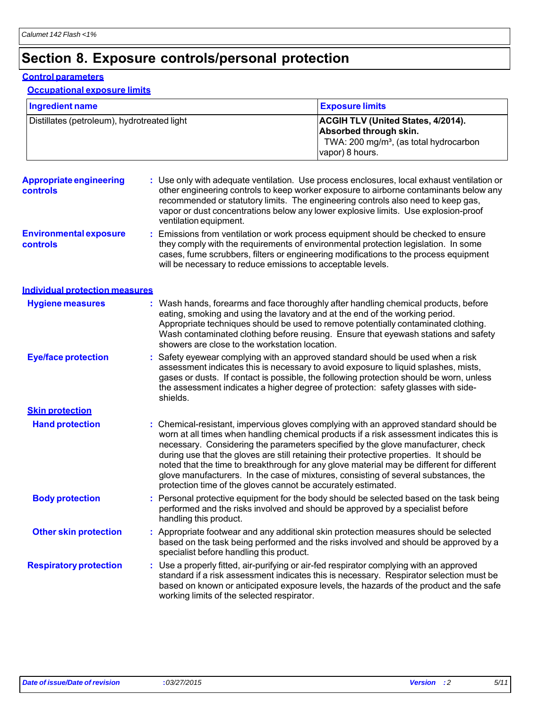# **Section 8. Exposure controls/personal protection**

#### **Control parameters**

**Occupational exposure limits**

| Ingredient name                             | <b>Exposure limits</b>                                                                                                                       |
|---------------------------------------------|----------------------------------------------------------------------------------------------------------------------------------------------|
| Distillates (petroleum), hydrotreated light | <b>ACGIH TLV (United States, 4/2014).</b><br>Absorbed through skin.<br>TWA: 200 mg/m <sup>3</sup> , (as total hydrocarbon<br>vapor) 8 hours. |

| <b>Appropriate engineering</b><br><b>controls</b> | : Use only with adequate ventilation. Use process enclosures, local exhaust ventilation or<br>other engineering controls to keep worker exposure to airborne contaminants below any<br>recommended or statutory limits. The engineering controls also need to keep gas,<br>vapor or dust concentrations below any lower explosive limits. Use explosion-proof<br>ventilation equipment.                                                                                                                                                                                                                                |
|---------------------------------------------------|------------------------------------------------------------------------------------------------------------------------------------------------------------------------------------------------------------------------------------------------------------------------------------------------------------------------------------------------------------------------------------------------------------------------------------------------------------------------------------------------------------------------------------------------------------------------------------------------------------------------|
| <b>Environmental exposure</b><br><b>controls</b>  | : Emissions from ventilation or work process equipment should be checked to ensure<br>they comply with the requirements of environmental protection legislation. In some<br>cases, fume scrubbers, filters or engineering modifications to the process equipment<br>will be necessary to reduce emissions to acceptable levels.                                                                                                                                                                                                                                                                                        |
| <b>Individual protection measures</b>             |                                                                                                                                                                                                                                                                                                                                                                                                                                                                                                                                                                                                                        |
| <b>Hygiene measures</b>                           | : Wash hands, forearms and face thoroughly after handling chemical products, before<br>eating, smoking and using the lavatory and at the end of the working period.<br>Appropriate techniques should be used to remove potentially contaminated clothing.<br>Wash contaminated clothing before reusing. Ensure that eyewash stations and safety<br>showers are close to the workstation location.                                                                                                                                                                                                                      |
| <b>Eye/face protection</b>                        | : Safety eyewear complying with an approved standard should be used when a risk<br>assessment indicates this is necessary to avoid exposure to liquid splashes, mists,<br>gases or dusts. If contact is possible, the following protection should be worn, unless<br>the assessment indicates a higher degree of protection: safety glasses with side-<br>shields.                                                                                                                                                                                                                                                     |
| <b>Skin protection</b>                            |                                                                                                                                                                                                                                                                                                                                                                                                                                                                                                                                                                                                                        |
| <b>Hand protection</b>                            | : Chemical-resistant, impervious gloves complying with an approved standard should be<br>worn at all times when handling chemical products if a risk assessment indicates this is<br>necessary. Considering the parameters specified by the glove manufacturer, check<br>during use that the gloves are still retaining their protective properties. It should be<br>noted that the time to breakthrough for any glove material may be different for different<br>glove manufacturers. In the case of mixtures, consisting of several substances, the<br>protection time of the gloves cannot be accurately estimated. |
| <b>Body protection</b>                            | : Personal protective equipment for the body should be selected based on the task being<br>performed and the risks involved and should be approved by a specialist before<br>handling this product.                                                                                                                                                                                                                                                                                                                                                                                                                    |
| <b>Other skin protection</b>                      | : Appropriate footwear and any additional skin protection measures should be selected<br>based on the task being performed and the risks involved and should be approved by a<br>specialist before handling this product.                                                                                                                                                                                                                                                                                                                                                                                              |
| <b>Respiratory protection</b>                     | : Use a properly fitted, air-purifying or air-fed respirator complying with an approved<br>standard if a risk assessment indicates this is necessary. Respirator selection must be<br>based on known or anticipated exposure levels, the hazards of the product and the safe<br>working limits of the selected respirator.                                                                                                                                                                                                                                                                                             |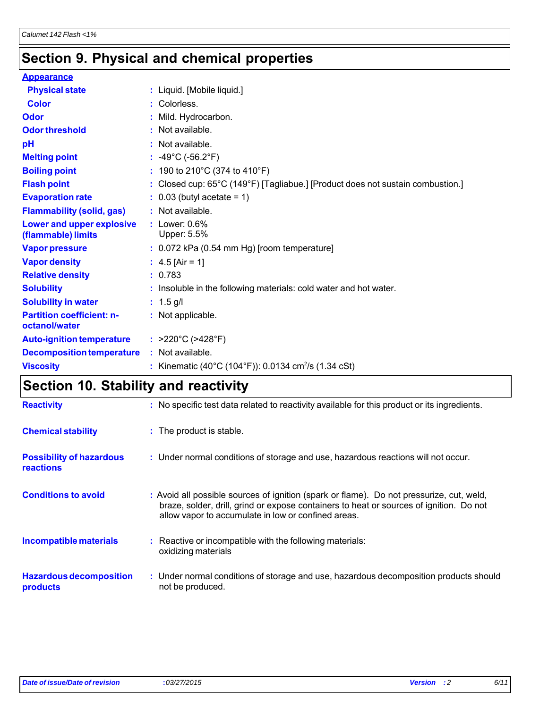# **Section 9. Physical and chemical properties**

| <b>Appearance</b>                                 |                                                                                |
|---------------------------------------------------|--------------------------------------------------------------------------------|
| <b>Physical state</b>                             | : Liquid. [Mobile liquid.]                                                     |
| <b>Color</b>                                      | : Colorless.                                                                   |
| <b>Odor</b>                                       | : Mild. Hydrocarbon.                                                           |
| <b>Odor threshold</b>                             | $:$ Not available.                                                             |
| pH                                                | : Not available.                                                               |
| <b>Melting point</b>                              | : $-49^{\circ}$ C ( $-56.2^{\circ}$ F)                                         |
| <b>Boiling point</b>                              | : 190 to 210°C (374 to 410°F)                                                  |
| <b>Flash point</b>                                | : Closed cup: 65°C (149°F) [Tagliabue.] [Product does not sustain combustion.] |
| <b>Evaporation rate</b>                           | $\therefore$ 0.03 (butyl acetate = 1)                                          |
| <b>Flammability (solid, gas)</b>                  | : Not available.                                                               |
| Lower and upper explosive<br>(flammable) limits   | $:$ Lower: $0.6\%$<br>Upper: 5.5%                                              |
| <b>Vapor pressure</b>                             | $: 0.072$ kPa (0.54 mm Hg) [room temperature]                                  |
| <b>Vapor density</b>                              | : $4.5$ [Air = 1]                                                              |
| <b>Relative density</b>                           | : 0.783                                                                        |
| <b>Solubility</b>                                 | : Insoluble in the following materials: cold water and hot water.              |
| <b>Solubility in water</b>                        | : $1.5$ g/l                                                                    |
| <b>Partition coefficient: n-</b><br>octanol/water | : Not applicable.                                                              |
| <b>Auto-ignition temperature</b>                  | : $>220^{\circ}$ C ( $>428^{\circ}$ F)                                         |
| <b>Decomposition temperature</b>                  | : Not available.                                                               |
| <b>Viscosity</b>                                  | : Kinematic (40°C (104°F)): 0.0134 cm <sup>2</sup> /s (1.34 cSt)               |

# **Section 10. Stability and reactivity**

| <b>Reactivity</b>                            | : No specific test data related to reactivity available for this product or its ingredients.                                                                                                                                               |
|----------------------------------------------|--------------------------------------------------------------------------------------------------------------------------------------------------------------------------------------------------------------------------------------------|
| <b>Chemical stability</b>                    | : The product is stable.                                                                                                                                                                                                                   |
| <b>Possibility of hazardous</b><br>reactions | : Under normal conditions of storage and use, hazardous reactions will not occur.                                                                                                                                                          |
| <b>Conditions to avoid</b>                   | : Avoid all possible sources of ignition (spark or flame). Do not pressurize, cut, weld,<br>braze, solder, drill, grind or expose containers to heat or sources of ignition. Do not<br>allow vapor to accumulate in low or confined areas. |
| Incompatible materials                       | : Reactive or incompatible with the following materials:<br>oxidizing materials                                                                                                                                                            |
| <b>Hazardous decomposition</b><br>products   | : Under normal conditions of storage and use, hazardous decomposition products should<br>not be produced.                                                                                                                                  |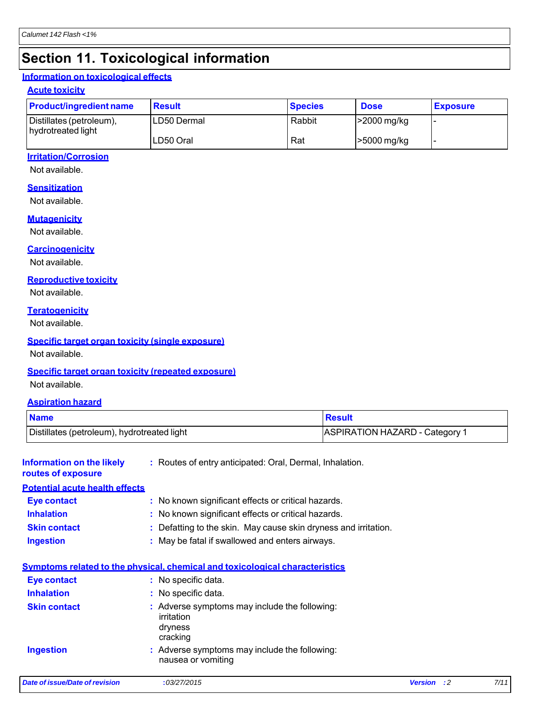# **Section 11. Toxicological information**

#### **Information on toxicological effects**

#### **Acute toxicity**

| <b>Product/ingredient name</b>                 | <b>Result</b> | <b>Species</b> | <b>Dose</b> | <b>Exposure</b>          |
|------------------------------------------------|---------------|----------------|-------------|--------------------------|
| Distillates (petroleum),<br>hydrotreated light | LD50 Dermal   | Rabbit         | >2000 mg/kg | $\overline{\phantom{0}}$ |
|                                                | LD50 Oral     | Rat            | >5000 mg/kg | $\overline{\phantom{a}}$ |

#### **Irritation/Corrosion**

Not available.

#### **Sensitization**

Not available.

#### **Mutagenicity**

Not available.

#### **Carcinogenicity**

Not available.

#### **Reproductive toxicity**

Not available.

#### **Teratogenicity**

Not available.

#### **Specific target organ toxicity (single exposure)**

Not available.

#### **Specific target organ toxicity (repeated exposure)**

Not available.

#### **Aspiration hazard**

| <b>Name</b>                                            |                                                                                    | <b>Result</b>                                                   |  |  |
|--------------------------------------------------------|------------------------------------------------------------------------------------|-----------------------------------------------------------------|--|--|
| Distillates (petroleum), hydrotreated light            |                                                                                    | <b>ASPIRATION HAZARD - Category 1</b>                           |  |  |
| <b>Information on the likely</b><br>routes of exposure | : Routes of entry anticipated: Oral, Dermal, Inhalation.                           |                                                                 |  |  |
| <b>Potential acute health effects</b>                  |                                                                                    |                                                                 |  |  |
| <b>Eye contact</b>                                     | : No known significant effects or critical hazards.                                |                                                                 |  |  |
| <b>Inhalation</b>                                      | : No known significant effects or critical hazards.                                |                                                                 |  |  |
| <b>Skin contact</b>                                    |                                                                                    | : Defatting to the skin. May cause skin dryness and irritation. |  |  |
| <b>Ingestion</b>                                       | : May be fatal if swallowed and enters airways.                                    |                                                                 |  |  |
|                                                        | Symptoms related to the physical, chemical and toxicological characteristics       |                                                                 |  |  |
| <b>Eye contact</b>                                     | : No specific data.                                                                |                                                                 |  |  |
| <b>Inhalation</b>                                      | : No specific data.                                                                |                                                                 |  |  |
| <b>Skin contact</b>                                    | : Adverse symptoms may include the following:<br>irritation<br>dryness<br>cracking |                                                                 |  |  |
| <b>Ingestion</b>                                       | : Adverse symptoms may include the following:<br>nausea or vomiting                |                                                                 |  |  |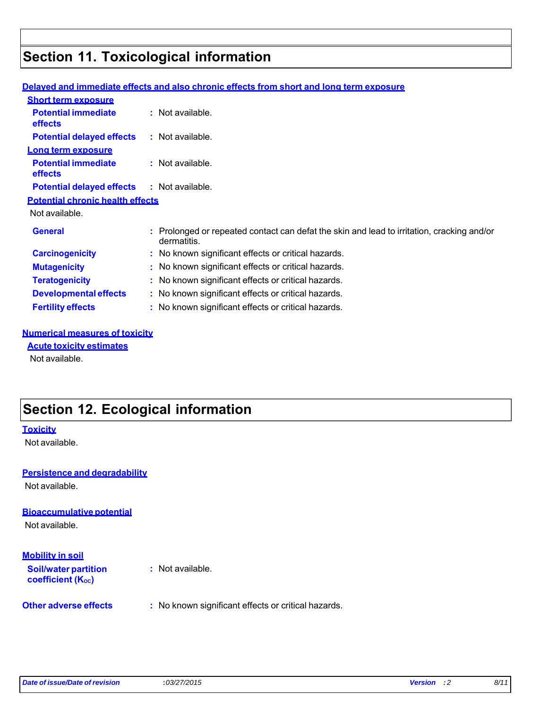# **Section 11. Toxicological information**

|                                              | <u>Delaved and immediate effects and also chronic effects from short and lond term exposure</u>           |
|----------------------------------------------|-----------------------------------------------------------------------------------------------------------|
| <b>Short term exposure</b>                   |                                                                                                           |
| <b>Potential immediate</b><br><b>effects</b> | $:$ Not available.                                                                                        |
| <b>Potential delayed effects</b>             | : Not available.                                                                                          |
| Long term exposure                           |                                                                                                           |
| <b>Potential immediate</b><br><b>effects</b> | $:$ Not available.                                                                                        |
| <b>Potential delayed effects</b>             | : Not available.                                                                                          |
| <b>Potential chronic health effects</b>      |                                                                                                           |
| Not available.                               |                                                                                                           |
| <b>General</b>                               | : Prolonged or repeated contact can defat the skin and lead to irritation, cracking and/or<br>dermatitis. |
| <b>Carcinogenicity</b>                       | : No known significant effects or critical hazards.                                                       |
| <b>Mutagenicity</b>                          | : No known significant effects or critical hazards.                                                       |
| <b>Teratogenicity</b>                        | : No known significant effects or critical hazards.                                                       |
| <b>Developmental effects</b>                 | : No known significant effects or critical hazards.                                                       |
| <b>Fertility effects</b>                     | : No known significant effects or critical hazards.                                                       |
|                                              |                                                                                                           |

### **Delayed and immediate effects and also chronic effects from short and long to**

#### **Numerical measures of toxicity**

**Acute toxicity estimates** Not available.

### **Section 12. Ecological information**

#### **Toxicity**

Not available.

### **Persistence and degradability**

Not available.

### **Bioaccumulative potential**

Not available.

### **Mobility in soil**

**Soil/water partition coefficient (Koc)** 

**:** Not available.

**Other adverse effects** : No known significant effects or critical hazards.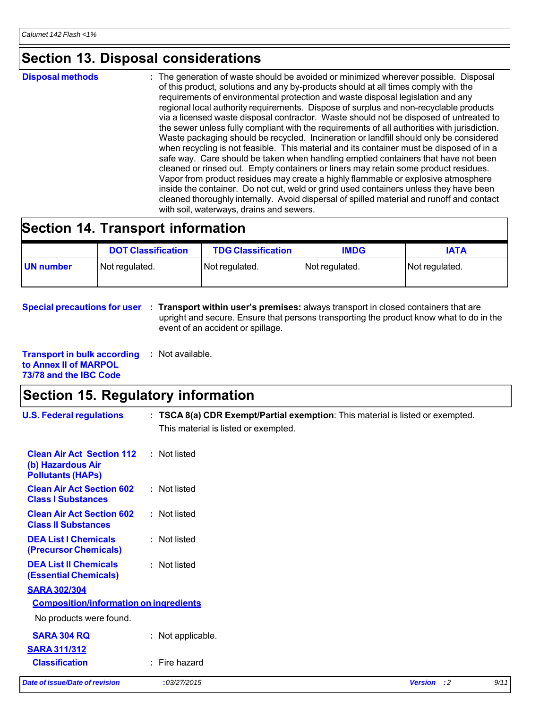### **Section 13. Disposal considerations**

**Disposal methods** : The generation of waste should be avoided or minimized wherever possible. Disposal of this product, solutions and any by-products should at all times comply with the requirements of environmental protection and waste disposal legislation and any regional local authority requirements. Dispose of surplus and non-recyclable products via a licensed waste disposal contractor. Waste should not be disposed of untreated to the sewer unless fully compliant with the requirements of all authorities with jurisdiction. Waste packaging should be recycled. Incineration or landfill should only be considered when recycling is not feasible. This material and its container must be disposed of in a safe way. Care should be taken when handling emptied containers that have not been cleaned or rinsed out. Empty containers or liners may retain some product residues. Vapor from product residues may create a highly flammable or explosive atmosphere inside the container. Do not cut, weld or grind used containers unless they have been cleaned thoroughly internally. Avoid dispersal of spilled material and runoff and contact with soil, waterways, drains and sewers.

### **Section 14. Transport information**

|           | <b>DOT Classification</b> | <b>TDG Classification</b> | <b>IMDG</b>    | <b>IATA</b>    |
|-----------|---------------------------|---------------------------|----------------|----------------|
| UN number | Not regulated.            | Not regulated.            | Not regulated. | Not regulated. |

#### **Special precautions for user : Transport within user's premises:** always transport in closed containers that are upright and secure. Ensure that persons transporting the product know what to do in the event of an accident or spillage.

| <b>Transport in bulk according</b> | : Not available. |
|------------------------------------|------------------|
| to Annex II of MARPOL              |                  |
| 73/78 and the IBC Code             |                  |

### **Section 15. Regulatory information**

| <b>U.S. Federal regulations</b>                                                   | : TSCA 8(a) CDR Exempt/Partial exemption: This material is listed or exempted.<br>This material is listed or exempted. |                    |      |
|-----------------------------------------------------------------------------------|------------------------------------------------------------------------------------------------------------------------|--------------------|------|
| <b>Clean Air Act Section 112</b><br>(b) Hazardous Air<br><b>Pollutants (HAPS)</b> | : Not listed                                                                                                           |                    |      |
| <b>Clean Air Act Section 602</b><br><b>Class I Substances</b>                     | : Not listed                                                                                                           |                    |      |
| <b>Clean Air Act Section 602</b><br><b>Class II Substances</b>                    | : Not listed                                                                                                           |                    |      |
| <b>DEA List I Chemicals</b><br>(Precursor Chemicals)                              | : Not listed                                                                                                           |                    |      |
| <b>DEA List II Chemicals</b><br><b>(Essential Chemicals)</b>                      | : Not listed                                                                                                           |                    |      |
| <b>SARA 302/304</b>                                                               |                                                                                                                        |                    |      |
| <b>Composition/information on ingredients</b>                                     |                                                                                                                        |                    |      |
| No products were found.                                                           |                                                                                                                        |                    |      |
| <b>SARA 304 RQ</b>                                                                | : Not applicable.                                                                                                      |                    |      |
| <b>SARA 311/312</b>                                                               |                                                                                                                        |                    |      |
| <b>Classification</b>                                                             | : Fire hazard                                                                                                          |                    |      |
| Date of issue/Date of revision                                                    | :03/27/2015                                                                                                            | <b>Version</b> : 2 | 9/11 |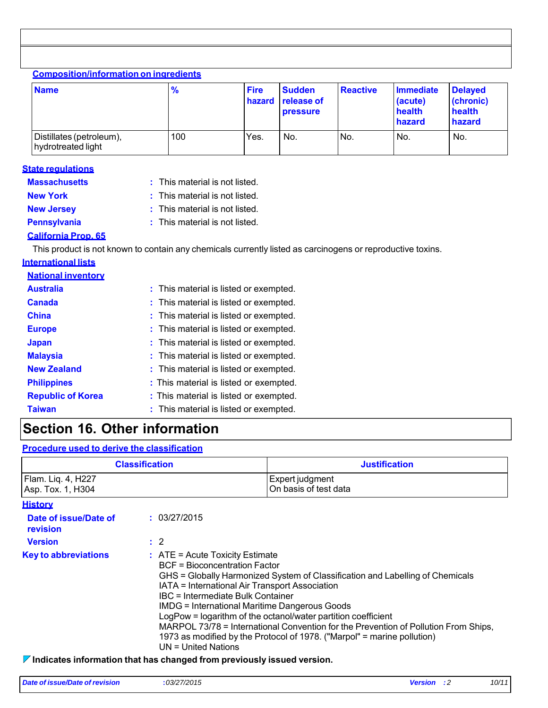| <b>Composition/information on ingredients</b><br><b>Name</b> | $\frac{9}{6}$ | <b>Fire</b><br>hazard | <b>Sudden</b><br><b>release of</b><br><b>pressure</b> | <b>Reactive</b> | <b>Immediate</b><br>(acute)<br>health<br>hazard | <b>Delayed</b><br>(chronic)<br>health<br>hazard |
|--------------------------------------------------------------|---------------|-----------------------|-------------------------------------------------------|-----------------|-------------------------------------------------|-------------------------------------------------|
| Distillates (petroleum),<br>hydrotreated light               | 100           | Yes.                  | No.                                                   | No.             | No.                                             | No.                                             |

| <b>State regulations</b> |
|--------------------------|
| <b>Massachusetts</b>     |

| This material is not listed |  |  |  |  |  |  |  |
|-----------------------------|--|--|--|--|--|--|--|
|-----------------------------|--|--|--|--|--|--|--|

- 
- 
- **New York 32 COVER 19 COVER 19 COVER 15 SIMUS** 2014 This material is not listed.
	-
- **New Jersey : This material is not listed.**
- **Pennsylvania** : This material is not listed.

### **California Prop. 65**

This product is not known to contain any chemicals currently listed as carcinogens or reproductive toxins.

| <b>International lists</b> |                                        |
|----------------------------|----------------------------------------|
| <b>National inventory</b>  |                                        |
| <b>Australia</b>           | : This material is listed or exempted. |
| <b>Canada</b>              | : This material is listed or exempted. |
| <b>China</b>               | : This material is listed or exempted. |
| <b>Europe</b>              | : This material is listed or exempted. |
| <b>Japan</b>               | : This material is listed or exempted. |
| <b>Malaysia</b>            | : This material is listed or exempted. |
| <b>New Zealand</b>         | : This material is listed or exempted. |
| <b>Philippines</b>         | : This material is listed or exempted. |
| <b>Republic of Korea</b>   | : This material is listed or exempted. |
| <b>Taiwan</b>              | : This material is listed or exempted. |

# **Section 16. Other information**

### **Procedure used to derive the classification**

| <b>Classification</b>                   |                                                                                        | <b>Justification</b>                                                                                                                                                                                                                                                                                                                                                                                                                                                                                                                  |  |  |  |
|-----------------------------------------|----------------------------------------------------------------------------------------|---------------------------------------------------------------------------------------------------------------------------------------------------------------------------------------------------------------------------------------------------------------------------------------------------------------------------------------------------------------------------------------------------------------------------------------------------------------------------------------------------------------------------------------|--|--|--|
| Flam. Lig. 4, H227<br>Asp. Tox. 1, H304 |                                                                                        | Expert judgment<br>On basis of test data                                                                                                                                                                                                                                                                                                                                                                                                                                                                                              |  |  |  |
| <b>History</b>                          |                                                                                        |                                                                                                                                                                                                                                                                                                                                                                                                                                                                                                                                       |  |  |  |
| Date of issue/Date of<br>revision       | : 03/27/2015                                                                           |                                                                                                                                                                                                                                                                                                                                                                                                                                                                                                                                       |  |  |  |
| <b>Version</b>                          | $\therefore$ 2                                                                         |                                                                                                                                                                                                                                                                                                                                                                                                                                                                                                                                       |  |  |  |
| <b>Key to abbreviations</b>             | $UN = United Nations$                                                                  | $:$ ATE = Acute Toxicity Estimate<br><b>BCF</b> = Bioconcentration Factor<br>GHS = Globally Harmonized System of Classification and Labelling of Chemicals<br>IATA = International Air Transport Association<br>IBC = Intermediate Bulk Container<br>IMDG = International Maritime Dangerous Goods<br>LogPow = logarithm of the octanol/water partition coefficient<br>MARPOL 73/78 = International Convention for the Prevention of Pollution From Ships,<br>1973 as modified by the Protocol of 1978. ("Marpol" = marine pollution) |  |  |  |
|                                         | $\triangledown$ Indicates information that has changed from previously issued version. |                                                                                                                                                                                                                                                                                                                                                                                                                                                                                                                                       |  |  |  |

**Indicates in the manged from previously issued version.**